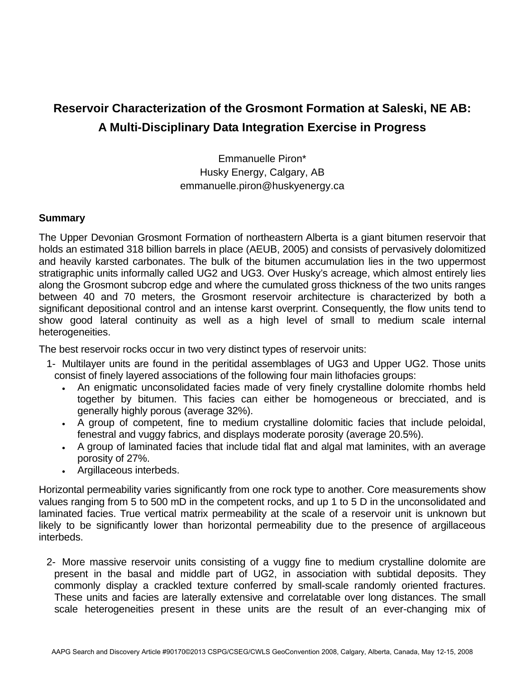## **Reservoir Characterization of the Grosmont Formation at Saleski, NE AB: A Multi-Disciplinary Data Integration Exercise in Progress**

Emmanuelle Piron\* Husky Energy, Calgary, AB emmanuelle.piron@huskyenergy.ca

## **Summary**

The Upper Devonian Grosmont Formation of northeastern Alberta is a giant bitumen reservoir that holds an estimated 318 billion barrels in place (AEUB, 2005) and consists of pervasively dolomitized and heavily karsted carbonates. The bulk of the bitumen accumulation lies in the two uppermost stratigraphic units informally called UG2 and UG3. Over Husky's acreage, which almost entirely lies along the Grosmont subcrop edge and where the cumulated gross thickness of the two units ranges between 40 and 70 meters, the Grosmont reservoir architecture is characterized by both a significant depositional control and an intense karst overprint. Consequently, the flow units tend to show good lateral continuity as well as a high level of small to medium scale internal heterogeneities.

The best reservoir rocks occur in two very distinct types of reservoir units:

- 1- Multilayer units are found in the peritidal assemblages of UG3 and Upper UG2. Those units consist of finely layered associations of the following four main lithofacies groups:
	- An enigmatic unconsolidated facies made of very finely crystalline dolomite rhombs held together by bitumen. This facies can either be homogeneous or brecciated, and is generally highly porous (average 32%).
	- A group of competent, fine to medium crystalline dolomitic facies that include peloidal, fenestral and vuggy fabrics, and displays moderate porosity (average 20.5%).
	- A group of laminated facies that include tidal flat and algal mat laminites, with an average porosity of 27%.
	- Argillaceous interbeds.

Horizontal permeability varies significantly from one rock type to another. Core measurements show values ranging from 5 to 500 mD in the competent rocks, and up 1 to 5 D in the unconsolidated and laminated facies. True vertical matrix permeability at the scale of a reservoir unit is unknown but likely to be significantly lower than horizontal permeability due to the presence of argillaceous interbeds.

2- More massive reservoir units consisting of a vuggy fine to medium crystalline dolomite are present in the basal and middle part of UG2, in association with subtidal deposits. They commonly display a crackled texture conferred by small-scale randomly oriented fractures. These units and facies are laterally extensive and correlatable over long distances. The small scale heterogeneities present in these units are the result of an ever-changing mix of